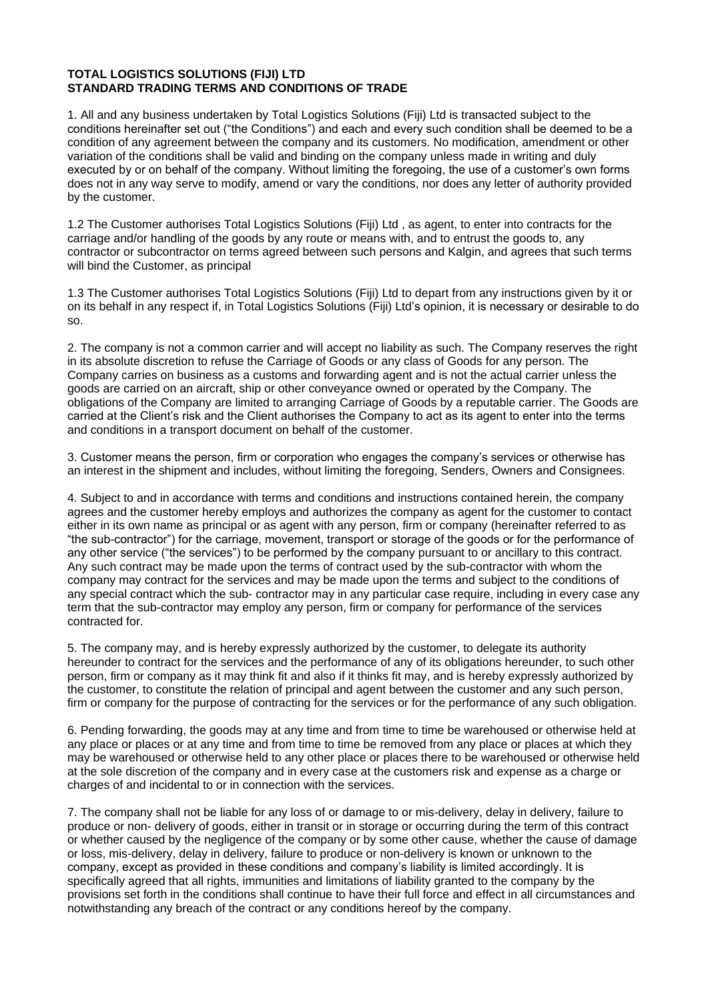## **TOTAL LOGISTICS SOLUTIONS (FIJI) LTD STANDARD TRADING TERMS AND CONDITIONS OF TRADE**

1. All and any business undertaken by Total Logistics Solutions (Fiji) Ltd is transacted subject to the conditions hereinafter set out ("the Conditions") and each and every such condition shall be deemed to be a condition of any agreement between the company and its customers. No modification, amendment or other variation of the conditions shall be valid and binding on the company unless made in writing and duly executed by or on behalf of the company. Without limiting the foregoing, the use of a customer's own forms does not in any way serve to modify, amend or vary the conditions, nor does any letter of authority provided by the customer.

1.2 The Customer authorises Total Logistics Solutions (Fiji) Ltd , as agent, to enter into contracts for the carriage and/or handling of the goods by any route or means with, and to entrust the goods to, any contractor or subcontractor on terms agreed between such persons and Kalgin, and agrees that such terms will bind the Customer, as principal

1.3 The Customer authorises Total Logistics Solutions (Fiji) Ltd to depart from any instructions given by it or on its behalf in any respect if, in Total Logistics Solutions (Fiji) Ltd's opinion, it is necessary or desirable to do so.

2. The company is not a common carrier and will accept no liability as such. The Company reserves the right in its absolute discretion to refuse the Carriage of Goods or any class of Goods for any person. The Company carries on business as a customs and forwarding agent and is not the actual carrier unless the goods are carried on an aircraft, ship or other conveyance owned or operated by the Company. The obligations of the Company are limited to arranging Carriage of Goods by a reputable carrier. The Goods are carried at the Client's risk and the Client authorises the Company to act as its agent to enter into the terms and conditions in a transport document on behalf of the customer.

3. Customer means the person, firm or corporation who engages the company's services or otherwise has an interest in the shipment and includes, without limiting the foregoing, Senders, Owners and Consignees.

4. Subject to and in accordance with terms and conditions and instructions contained herein, the company agrees and the customer hereby employs and authorizes the company as agent for the customer to contact either in its own name as principal or as agent with any person, firm or company (hereinafter referred to as "the sub-contractor") for the carriage, movement, transport or storage of the goods or for the performance of any other service ("the services") to be performed by the company pursuant to or ancillary to this contract. Any such contract may be made upon the terms of contract used by the sub-contractor with whom the company may contract for the services and may be made upon the terms and subject to the conditions of any special contract which the sub- contractor may in any particular case require, including in every case any term that the sub-contractor may employ any person, firm or company for performance of the services contracted for.

5. The company may, and is hereby expressly authorized by the customer, to delegate its authority hereunder to contract for the services and the performance of any of its obligations hereunder, to such other person, firm or company as it may think fit and also if it thinks fit may, and is hereby expressly authorized by the customer, to constitute the relation of principal and agent between the customer and any such person, firm or company for the purpose of contracting for the services or for the performance of any such obligation.

6. Pending forwarding, the goods may at any time and from time to time be warehoused or otherwise held at any place or places or at any time and from time to time be removed from any place or places at which they may be warehoused or otherwise held to any other place or places there to be warehoused or otherwise held at the sole discretion of the company and in every case at the customers risk and expense as a charge or charges of and incidental to or in connection with the services.

7. The company shall not be liable for any loss of or damage to or mis-delivery, delay in delivery, failure to produce or non- delivery of goods, either in transit or in storage or occurring during the term of this contract or whether caused by the negligence of the company or by some other cause, whether the cause of damage or loss, mis-delivery, delay in delivery, failure to produce or non-delivery is known or unknown to the company, except as provided in these conditions and company's liability is limited accordingly. It is specifically agreed that all rights, immunities and limitations of liability granted to the company by the provisions set forth in the conditions shall continue to have their full force and effect in all circumstances and notwithstanding any breach of the contract or any conditions hereof by the company.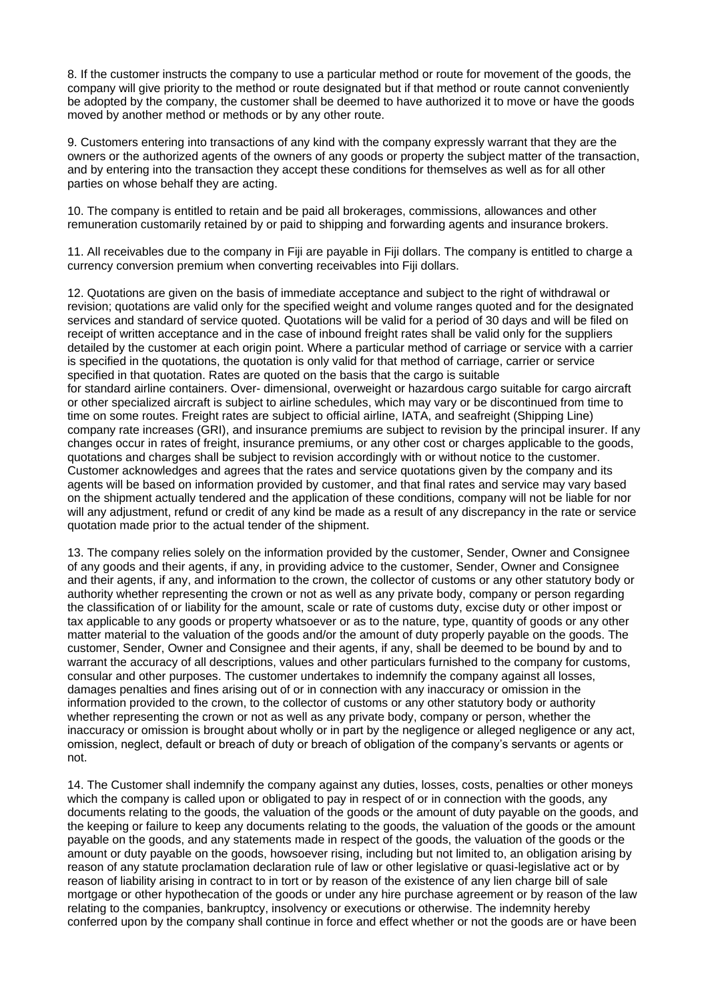8. If the customer instructs the company to use a particular method or route for movement of the goods, the company will give priority to the method or route designated but if that method or route cannot conveniently be adopted by the company, the customer shall be deemed to have authorized it to move or have the goods moved by another method or methods or by any other route.

9. Customers entering into transactions of any kind with the company expressly warrant that they are the owners or the authorized agents of the owners of any goods or property the subject matter of the transaction, and by entering into the transaction they accept these conditions for themselves as well as for all other parties on whose behalf they are acting.

10. The company is entitled to retain and be paid all brokerages, commissions, allowances and other remuneration customarily retained by or paid to shipping and forwarding agents and insurance brokers.

11. All receivables due to the company in Fiji are payable in Fiji dollars. The company is entitled to charge a currency conversion premium when converting receivables into Fiji dollars.

12. Quotations are given on the basis of immediate acceptance and subject to the right of withdrawal or revision; quotations are valid only for the specified weight and volume ranges quoted and for the designated services and standard of service quoted. Quotations will be valid for a period of 30 days and will be filed on receipt of written acceptance and in the case of inbound freight rates shall be valid only for the suppliers detailed by the customer at each origin point. Where a particular method of carriage or service with a carrier is specified in the quotations, the quotation is only valid for that method of carriage, carrier or service specified in that quotation. Rates are quoted on the basis that the cargo is suitable for standard airline containers. Over- dimensional, overweight or hazardous cargo suitable for cargo aircraft or other specialized aircraft is subject to airline schedules, which may vary or be discontinued from time to time on some routes. Freight rates are subject to official airline, IATA, and seafreight (Shipping Line) company rate increases (GRI), and insurance premiums are subject to revision by the principal insurer. If any changes occur in rates of freight, insurance premiums, or any other cost or charges applicable to the goods, quotations and charges shall be subject to revision accordingly with or without notice to the customer. Customer acknowledges and agrees that the rates and service quotations given by the company and its agents will be based on information provided by customer, and that final rates and service may vary based on the shipment actually tendered and the application of these conditions, company will not be liable for nor will any adjustment, refund or credit of any kind be made as a result of any discrepancy in the rate or service quotation made prior to the actual tender of the shipment.

13. The company relies solely on the information provided by the customer, Sender, Owner and Consignee of any goods and their agents, if any, in providing advice to the customer, Sender, Owner and Consignee and their agents, if any, and information to the crown, the collector of customs or any other statutory body or authority whether representing the crown or not as well as any private body, company or person regarding the classification of or liability for the amount, scale or rate of customs duty, excise duty or other impost or tax applicable to any goods or property whatsoever or as to the nature, type, quantity of goods or any other matter material to the valuation of the goods and/or the amount of duty properly payable on the goods. The customer, Sender, Owner and Consignee and their agents, if any, shall be deemed to be bound by and to warrant the accuracy of all descriptions, values and other particulars furnished to the company for customs, consular and other purposes. The customer undertakes to indemnify the company against all losses, damages penalties and fines arising out of or in connection with any inaccuracy or omission in the information provided to the crown, to the collector of customs or any other statutory body or authority whether representing the crown or not as well as any private body, company or person, whether the inaccuracy or omission is brought about wholly or in part by the negligence or alleged negligence or any act, omission, neglect, default or breach of duty or breach of obligation of the company's servants or agents or not.

14. The Customer shall indemnify the company against any duties, losses, costs, penalties or other moneys which the company is called upon or obligated to pay in respect of or in connection with the goods, any documents relating to the goods, the valuation of the goods or the amount of duty payable on the goods, and the keeping or failure to keep any documents relating to the goods, the valuation of the goods or the amount payable on the goods, and any statements made in respect of the goods, the valuation of the goods or the amount or duty payable on the goods, howsoever rising, including but not limited to, an obligation arising by reason of any statute proclamation declaration rule of law or other legislative or quasi-legislative act or by reason of liability arising in contract to in tort or by reason of the existence of any lien charge bill of sale mortgage or other hypothecation of the goods or under any hire purchase agreement or by reason of the law relating to the companies, bankruptcy, insolvency or executions or otherwise. The indemnity hereby conferred upon by the company shall continue in force and effect whether or not the goods are or have been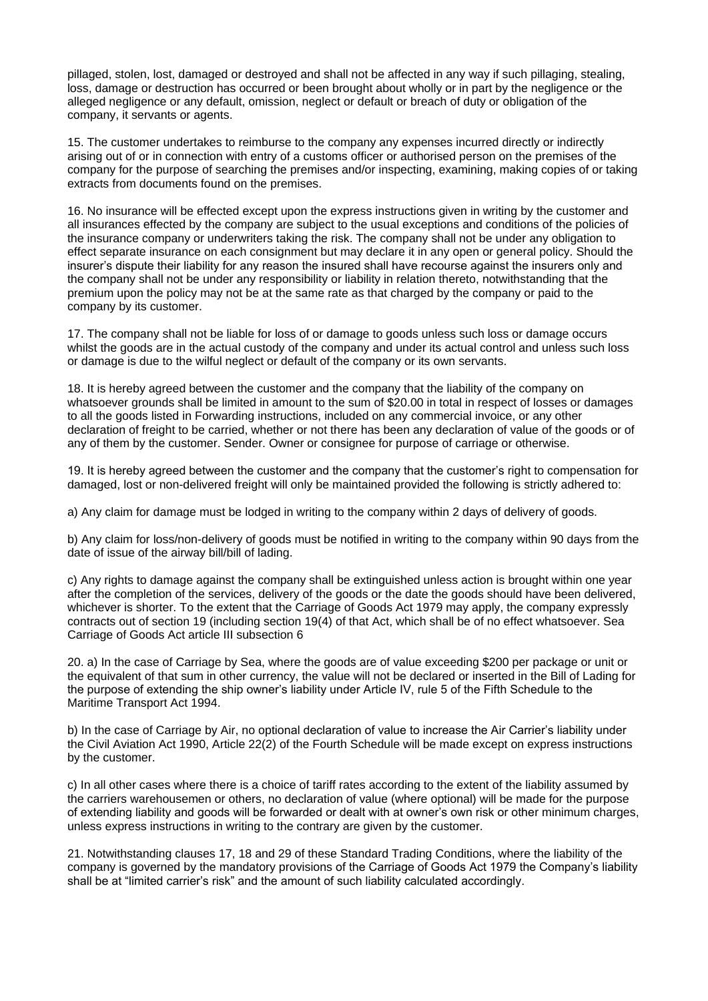pillaged, stolen, lost, damaged or destroyed and shall not be affected in any way if such pillaging, stealing, loss, damage or destruction has occurred or been brought about wholly or in part by the negligence or the alleged negligence or any default, omission, neglect or default or breach of duty or obligation of the company, it servants or agents.

15. The customer undertakes to reimburse to the company any expenses incurred directly or indirectly arising out of or in connection with entry of a customs officer or authorised person on the premises of the company for the purpose of searching the premises and/or inspecting, examining, making copies of or taking extracts from documents found on the premises.

16. No insurance will be effected except upon the express instructions given in writing by the customer and all insurances effected by the company are subject to the usual exceptions and conditions of the policies of the insurance company or underwriters taking the risk. The company shall not be under any obligation to effect separate insurance on each consignment but may declare it in any open or general policy. Should the insurer's dispute their liability for any reason the insured shall have recourse against the insurers only and the company shall not be under any responsibility or liability in relation thereto, notwithstanding that the premium upon the policy may not be at the same rate as that charged by the company or paid to the company by its customer.

17. The company shall not be liable for loss of or damage to goods unless such loss or damage occurs whilst the goods are in the actual custody of the company and under its actual control and unless such loss or damage is due to the wilful neglect or default of the company or its own servants.

18. It is hereby agreed between the customer and the company that the liability of the company on whatsoever grounds shall be limited in amount to the sum of \$20.00 in total in respect of losses or damages to all the goods listed in Forwarding instructions, included on any commercial invoice, or any other declaration of freight to be carried, whether or not there has been any declaration of value of the goods or of any of them by the customer. Sender. Owner or consignee for purpose of carriage or otherwise.

19. It is hereby agreed between the customer and the company that the customer's right to compensation for damaged, lost or non-delivered freight will only be maintained provided the following is strictly adhered to:

a) Any claim for damage must be lodged in writing to the company within 2 days of delivery of goods.

b) Any claim for loss/non-delivery of goods must be notified in writing to the company within 90 days from the date of issue of the airway bill/bill of lading.

c) Any rights to damage against the company shall be extinguished unless action is brought within one year after the completion of the services, delivery of the goods or the date the goods should have been delivered, whichever is shorter. To the extent that the Carriage of Goods Act 1979 may apply, the company expressly contracts out of section 19 (including section 19(4) of that Act, which shall be of no effect whatsoever. Sea Carriage of Goods Act article III subsection 6

20. a) In the case of Carriage by Sea, where the goods are of value exceeding \$200 per package or unit or the equivalent of that sum in other currency, the value will not be declared or inserted in the Bill of Lading for the purpose of extending the ship owner's liability under Article IV, rule 5 of the Fifth Schedule to the Maritime Transport Act 1994.

b) In the case of Carriage by Air, no optional declaration of value to increase the Air Carrier's liability under the Civil Aviation Act 1990, Article 22(2) of the Fourth Schedule will be made except on express instructions by the customer.

c) In all other cases where there is a choice of tariff rates according to the extent of the liability assumed by the carriers warehousemen or others, no declaration of value (where optional) will be made for the purpose of extending liability and goods will be forwarded or dealt with at owner's own risk or other minimum charges, unless express instructions in writing to the contrary are given by the customer.

21. Notwithstanding clauses 17, 18 and 29 of these Standard Trading Conditions, where the liability of the company is governed by the mandatory provisions of the Carriage of Goods Act 1979 the Company's liability shall be at "limited carrier's risk" and the amount of such liability calculated accordingly.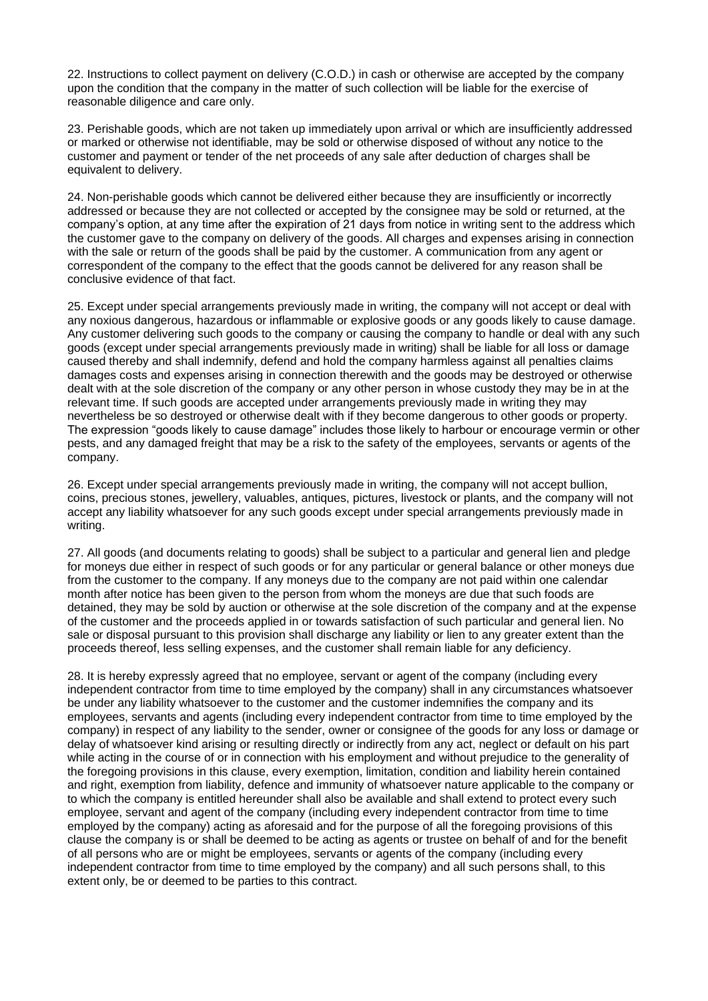22. Instructions to collect payment on delivery (C.O.D.) in cash or otherwise are accepted by the company upon the condition that the company in the matter of such collection will be liable for the exercise of reasonable diligence and care only.

23. Perishable goods, which are not taken up immediately upon arrival or which are insufficiently addressed or marked or otherwise not identifiable, may be sold or otherwise disposed of without any notice to the customer and payment or tender of the net proceeds of any sale after deduction of charges shall be equivalent to delivery.

24. Non-perishable goods which cannot be delivered either because they are insufficiently or incorrectly addressed or because they are not collected or accepted by the consignee may be sold or returned, at the company's option, at any time after the expiration of 21 days from notice in writing sent to the address which the customer gave to the company on delivery of the goods. All charges and expenses arising in connection with the sale or return of the goods shall be paid by the customer. A communication from any agent or correspondent of the company to the effect that the goods cannot be delivered for any reason shall be conclusive evidence of that fact.

25. Except under special arrangements previously made in writing, the company will not accept or deal with any noxious dangerous, hazardous or inflammable or explosive goods or any goods likely to cause damage. Any customer delivering such goods to the company or causing the company to handle or deal with any such goods (except under special arrangements previously made in writing) shall be liable for all loss or damage caused thereby and shall indemnify, defend and hold the company harmless against all penalties claims damages costs and expenses arising in connection therewith and the goods may be destroyed or otherwise dealt with at the sole discretion of the company or any other person in whose custody they may be in at the relevant time. If such goods are accepted under arrangements previously made in writing they may nevertheless be so destroyed or otherwise dealt with if they become dangerous to other goods or property. The expression "goods likely to cause damage" includes those likely to harbour or encourage vermin or other pests, and any damaged freight that may be a risk to the safety of the employees, servants or agents of the company.

26. Except under special arrangements previously made in writing, the company will not accept bullion, coins, precious stones, jewellery, valuables, antiques, pictures, livestock or plants, and the company will not accept any liability whatsoever for any such goods except under special arrangements previously made in writing.

27. All goods (and documents relating to goods) shall be subject to a particular and general lien and pledge for moneys due either in respect of such goods or for any particular or general balance or other moneys due from the customer to the company. If any moneys due to the company are not paid within one calendar month after notice has been given to the person from whom the moneys are due that such foods are detained, they may be sold by auction or otherwise at the sole discretion of the company and at the expense of the customer and the proceeds applied in or towards satisfaction of such particular and general lien. No sale or disposal pursuant to this provision shall discharge any liability or lien to any greater extent than the proceeds thereof, less selling expenses, and the customer shall remain liable for any deficiency.

28. It is hereby expressly agreed that no employee, servant or agent of the company (including every independent contractor from time to time employed by the company) shall in any circumstances whatsoever be under any liability whatsoever to the customer and the customer indemnifies the company and its employees, servants and agents (including every independent contractor from time to time employed by the company) in respect of any liability to the sender, owner or consignee of the goods for any loss or damage or delay of whatsoever kind arising or resulting directly or indirectly from any act, neglect or default on his part while acting in the course of or in connection with his employment and without prejudice to the generality of the foregoing provisions in this clause, every exemption, limitation, condition and liability herein contained and right, exemption from liability, defence and immunity of whatsoever nature applicable to the company or to which the company is entitled hereunder shall also be available and shall extend to protect every such employee, servant and agent of the company (including every independent contractor from time to time employed by the company) acting as aforesaid and for the purpose of all the foregoing provisions of this clause the company is or shall be deemed to be acting as agents or trustee on behalf of and for the benefit of all persons who are or might be employees, servants or agents of the company (including every independent contractor from time to time employed by the company) and all such persons shall, to this extent only, be or deemed to be parties to this contract.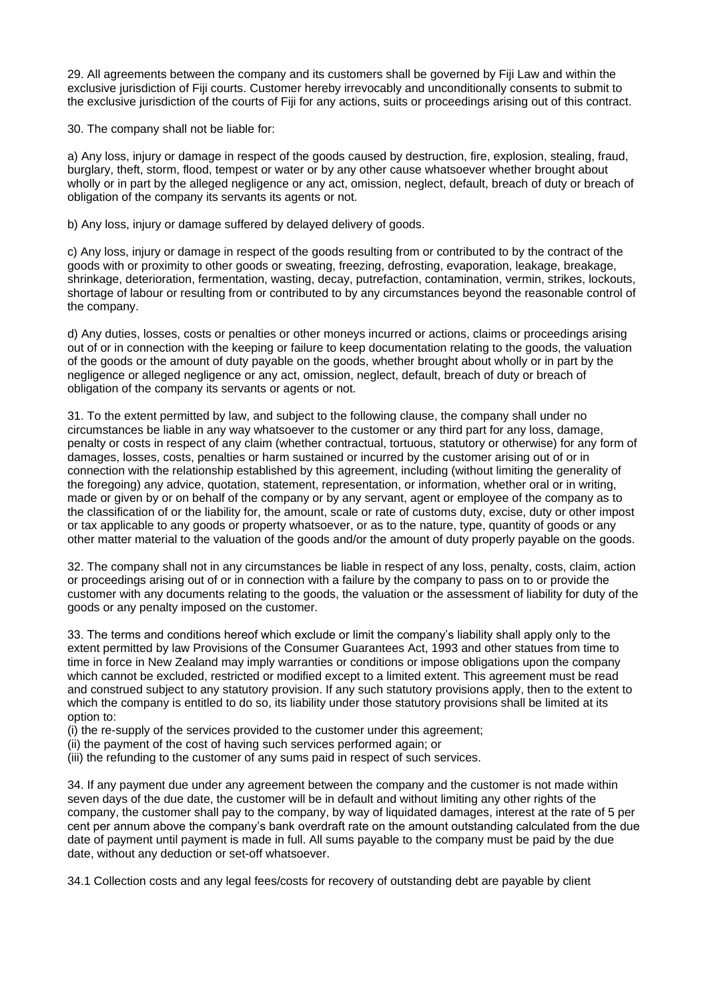29. All agreements between the company and its customers shall be governed by Fiji Law and within the exclusive jurisdiction of Fiji courts. Customer hereby irrevocably and unconditionally consents to submit to the exclusive jurisdiction of the courts of Fiji for any actions, suits or proceedings arising out of this contract.

30. The company shall not be liable for:

a) Any loss, injury or damage in respect of the goods caused by destruction, fire, explosion, stealing, fraud, burglary, theft, storm, flood, tempest or water or by any other cause whatsoever whether brought about wholly or in part by the alleged negligence or any act, omission, neglect, default, breach of duty or breach of obligation of the company its servants its agents or not.

b) Any loss, injury or damage suffered by delayed delivery of goods.

c) Any loss, injury or damage in respect of the goods resulting from or contributed to by the contract of the goods with or proximity to other goods or sweating, freezing, defrosting, evaporation, leakage, breakage, shrinkage, deterioration, fermentation, wasting, decay, putrefaction, contamination, vermin, strikes, lockouts, shortage of labour or resulting from or contributed to by any circumstances beyond the reasonable control of the company.

d) Any duties, losses, costs or penalties or other moneys incurred or actions, claims or proceedings arising out of or in connection with the keeping or failure to keep documentation relating to the goods, the valuation of the goods or the amount of duty payable on the goods, whether brought about wholly or in part by the negligence or alleged negligence or any act, omission, neglect, default, breach of duty or breach of obligation of the company its servants or agents or not.

31. To the extent permitted by law, and subject to the following clause, the company shall under no circumstances be liable in any way whatsoever to the customer or any third part for any loss, damage, penalty or costs in respect of any claim (whether contractual, tortuous, statutory or otherwise) for any form of damages, losses, costs, penalties or harm sustained or incurred by the customer arising out of or in connection with the relationship established by this agreement, including (without limiting the generality of the foregoing) any advice, quotation, statement, representation, or information, whether oral or in writing, made or given by or on behalf of the company or by any servant, agent or employee of the company as to the classification of or the liability for, the amount, scale or rate of customs duty, excise, duty or other impost or tax applicable to any goods or property whatsoever, or as to the nature, type, quantity of goods or any other matter material to the valuation of the goods and/or the amount of duty properly payable on the goods.

32. The company shall not in any circumstances be liable in respect of any loss, penalty, costs, claim, action or proceedings arising out of or in connection with a failure by the company to pass on to or provide the customer with any documents relating to the goods, the valuation or the assessment of liability for duty of the goods or any penalty imposed on the customer.

33. The terms and conditions hereof which exclude or limit the company's liability shall apply only to the extent permitted by law Provisions of the Consumer Guarantees Act, 1993 and other statues from time to time in force in New Zealand may imply warranties or conditions or impose obligations upon the company which cannot be excluded, restricted or modified except to a limited extent. This agreement must be read and construed subject to any statutory provision. If any such statutory provisions apply, then to the extent to which the company is entitled to do so, its liability under those statutory provisions shall be limited at its option to:

(i) the re-supply of the services provided to the customer under this agreement;

- (ii) the payment of the cost of having such services performed again; or
- (iii) the refunding to the customer of any sums paid in respect of such services.

34. If any payment due under any agreement between the company and the customer is not made within seven days of the due date, the customer will be in default and without limiting any other rights of the company, the customer shall pay to the company, by way of liquidated damages, interest at the rate of 5 per cent per annum above the company's bank overdraft rate on the amount outstanding calculated from the due date of payment until payment is made in full. All sums payable to the company must be paid by the due date, without any deduction or set-off whatsoever.

34.1 Collection costs and any legal fees/costs for recovery of outstanding debt are payable by client